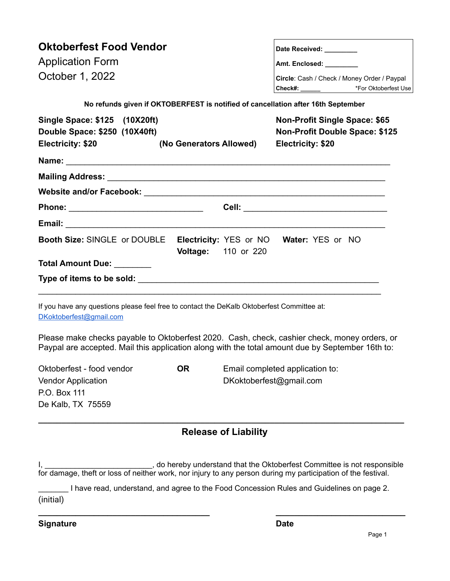| <b>Oktoberfest Food Vendor</b>                                                                                                                                                                   |           |                             | Date Received: _________                                                                                                 |  |
|--------------------------------------------------------------------------------------------------------------------------------------------------------------------------------------------------|-----------|-----------------------------|--------------------------------------------------------------------------------------------------------------------------|--|
| <b>Application Form</b><br>October 1, 2022                                                                                                                                                       |           |                             | Amt. Enclosed: ________<br>Circle: Cash / Check / Money Order / Paypal<br>Check#: _________________ *For Oktoberfest Use |  |
|                                                                                                                                                                                                  |           |                             |                                                                                                                          |  |
| Single Space: \$125 (10X20ft)<br>Double Space: \$250 (10X40ft)<br>Electricity: \$20<br>(No Generators Allowed)                                                                                   |           |                             | <b>Non-Profit Single Space: \$65</b><br><b>Non-Profit Double Space: \$125</b><br><b>Electricity: \$20</b>                |  |
|                                                                                                                                                                                                  |           |                             |                                                                                                                          |  |
|                                                                                                                                                                                                  |           |                             |                                                                                                                          |  |
|                                                                                                                                                                                                  |           |                             |                                                                                                                          |  |
|                                                                                                                                                                                                  |           |                             |                                                                                                                          |  |
|                                                                                                                                                                                                  |           |                             |                                                                                                                          |  |
| <b>Booth Size: SINGLE or DOUBLE</b>                                                                                                                                                              |           | <b>Voltage:</b> 110 or 220  | Electricity: YES or NO Water: YES or NO                                                                                  |  |
| Total Amount Due: _______                                                                                                                                                                        |           |                             |                                                                                                                          |  |
|                                                                                                                                                                                                  |           |                             |                                                                                                                          |  |
| If you have any questions please feel free to contact the DeKalb Oktoberfest Committee at:<br>DKoktoberfest@gmail.com                                                                            |           |                             |                                                                                                                          |  |
| Please make checks payable to Oktoberfest 2020. Cash, check, cashier check, money orders, or<br>Paypal are accepted. Mail this application along with the total amount due by September 16th to: |           |                             |                                                                                                                          |  |
| Oktoberfest - food vendor                                                                                                                                                                        | <b>OR</b> |                             | Email completed application to:                                                                                          |  |
| <b>Vendor Application</b>                                                                                                                                                                        |           |                             | DKoktoberfest@gmail.com                                                                                                  |  |
| P.O. Box 111<br>De Kalb, TX 75559                                                                                                                                                                |           |                             |                                                                                                                          |  |
|                                                                                                                                                                                                  |           |                             |                                                                                                                          |  |
|                                                                                                                                                                                                  |           | <b>Release of Liability</b> |                                                                                                                          |  |
|                                                                                                                                                                                                  |           |                             | , do hereby understand that the Oktoberfest Committee is not responsible                                                 |  |

for damage, theft or loss of neither work, nor injury to any person during my participation of the festival. \_\_\_\_\_\_\_ I have read, understand, and agree to the Food Concession Rules and Guidelines on page 2. (initial)

**\_\_\_\_\_\_\_\_\_\_\_\_\_\_\_\_\_\_\_\_\_\_\_\_\_\_\_\_\_\_\_\_\_\_\_\_\_ \_\_\_\_\_\_\_\_\_\_\_\_\_\_\_\_\_\_\_\_\_\_\_\_\_\_\_\_ Signature Date**